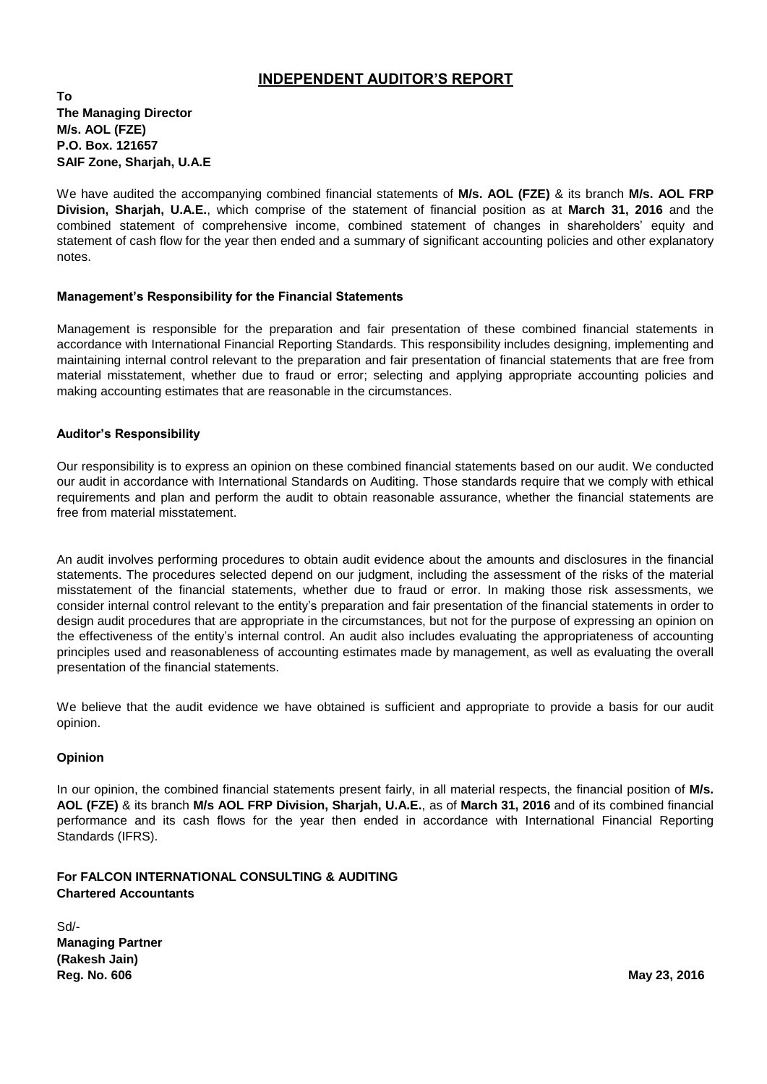# **INDEPENDENT AUDITOR'S REPORT**

**To The Managing Director M/s. AOL (FZE) P.O. Box. 121657 SAIF Zone, Sharjah, U.A.E**

We have audited the accompanying combined financial statements of **M/s. AOL (FZE)** & its branch **M/s. AOL FRP Division, Sharjah, U.A.E.**, which comprise of the statement of financial position as at **March 31, 2016** and the combined statement of comprehensive income, combined statement of changes in shareholders' equity and statement of cash flow for the year then ended and a summary of significant accounting policies and other explanatory notes.

## **Management's Responsibility for the Financial Statements**

Management is responsible for the preparation and fair presentation of these combined financial statements in accordance with International Financial Reporting Standards. This responsibility includes designing, implementing and maintaining internal control relevant to the preparation and fair presentation of financial statements that are free from material misstatement, whether due to fraud or error; selecting and applying appropriate accounting policies and making accounting estimates that are reasonable in the circumstances.

## **Auditor's Responsibility**

Our responsibility is to express an opinion on these combined financial statements based on our audit. We conducted our audit in accordance with International Standards on Auditing. Those standards require that we comply with ethical requirements and plan and perform the audit to obtain reasonable assurance, whether the financial statements are free from material misstatement.

An audit involves performing procedures to obtain audit evidence about the amounts and disclosures in the financial statements. The procedures selected depend on our judgment, including the assessment of the risks of the material misstatement of the financial statements, whether due to fraud or error. In making those risk assessments, we consider internal control relevant to the entity's preparation and fair presentation of the financial statements in order to design audit procedures that are appropriate in the circumstances, but not for the purpose of expressing an opinion on the effectiveness of the entity's internal control. An audit also includes evaluating the appropriateness of accounting principles used and reasonableness of accounting estimates made by management, as well as evaluating the overall presentation of the financial statements.

We believe that the audit evidence we have obtained is sufficient and appropriate to provide a basis for our audit opinion.

## **Opinion**

In our opinion, the combined financial statements present fairly, in all material respects, the financial position of **M/s. AOL (FZE)** & its branch **M/s AOL FRP Division, Sharjah, U.A.E.**, as of **March 31, 2016** and of its combined financial performance and its cash flows for the year then ended in accordance with International Financial Reporting Standards (IFRS).

## **For FALCON INTERNATIONAL CONSULTING & AUDITING Chartered Accountants**

Sd/- **Managing Partner (Rakesh Jain) Reg. No. 606 May 23, 2016**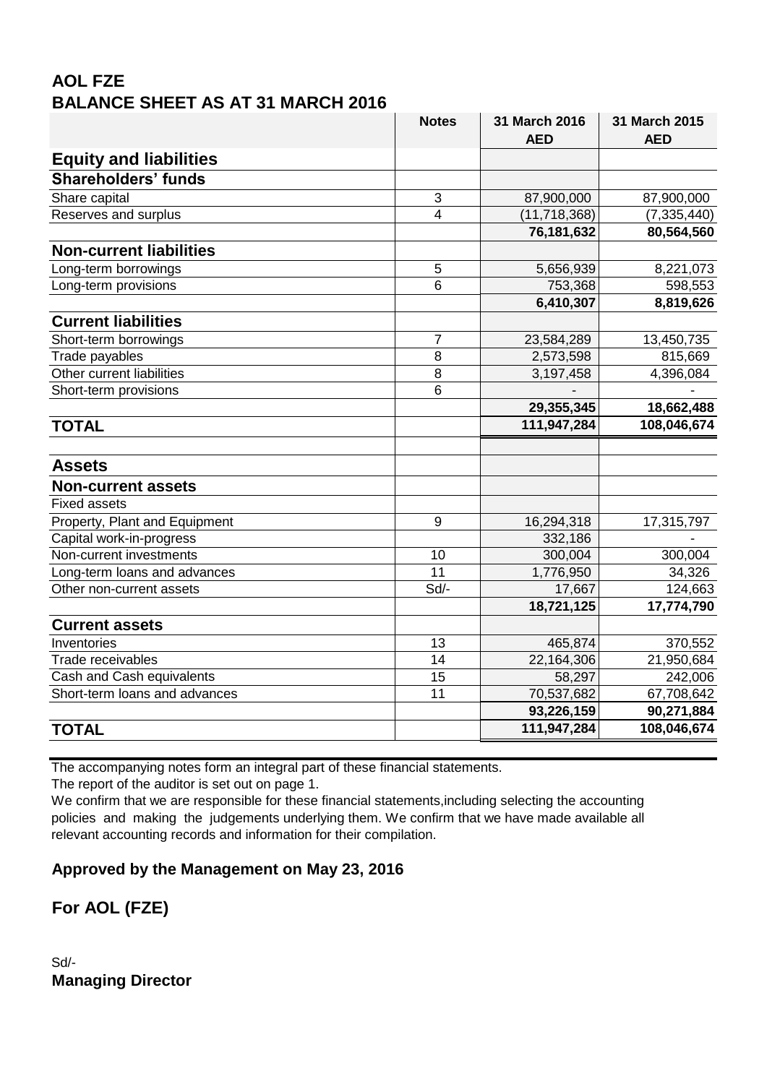# **AOL FZE BALANCE SHEET AS AT 31 MARCH 2016**

| <b>Equity and liabilities</b>  |                  |                |               |
|--------------------------------|------------------|----------------|---------------|
|                                |                  |                |               |
| <b>Shareholders' funds</b>     |                  |                |               |
| Share capital                  | 3                | 87,900,000     | 87,900,000    |
| Reserves and surplus           | 4                | (11, 718, 368) | (7, 335, 440) |
|                                |                  | 76,181,632     | 80,564,560    |
| <b>Non-current liabilities</b> |                  |                |               |
| Long-term borrowings           | 5                | 5,656,939      | 8,221,073     |
| Long-term provisions           | 6                | 753,368        | 598,553       |
|                                |                  | 6,410,307      | 8,819,626     |
| <b>Current liabilities</b>     |                  |                |               |
| Short-term borrowings          | $\overline{7}$   | 23,584,289     | 13,450,735    |
| Trade payables                 | 8                | 2,573,598      | 815,669       |
| Other current liabilities      | 8                | 3,197,458      | 4,396,084     |
| Short-term provisions          | 6                |                |               |
|                                |                  | 29,355,345     | 18,662,488    |
| <b>TOTAL</b>                   |                  | 111,947,284    | 108,046,674   |
|                                |                  |                |               |
| <b>Assets</b>                  |                  |                |               |
| <b>Non-current assets</b>      |                  |                |               |
| <b>Fixed assets</b>            |                  |                |               |
| Property, Plant and Equipment  | $\boldsymbol{9}$ | 16,294,318     | 17,315,797    |
| Capital work-in-progress       |                  | 332,186        |               |
| Non-current investments        | 10               | 300,004        | 300,004       |
| Long-term loans and advances   | 11               | 1,776,950      | 34,326        |
| Other non-current assets       | Sd/-             | 17,667         | 124,663       |
|                                |                  | 18,721,125     | 17,774,790    |
| <b>Current assets</b>          |                  |                |               |
| Inventories                    | 13               | 465,874        | 370,552       |
| Trade receivables              | 14               | 22,164,306     | 21,950,684    |
| Cash and Cash equivalents      | 15               | 58,297         | 242,006       |
| Short-term loans and advances  | 11               | 70,537,682     | 67,708,642    |
|                                |                  | 93,226,159     | 90,271,884    |
| <b>TOTAL</b>                   |                  | 111,947,284    | 108,046,674   |

The accompanying notes form an integral part of these financial statements.

The report of the auditor is set out on page 1.

We confirm that we are responsible for these financial statements,including selecting the accounting policies and making the judgements underlying them. We confirm that we have made available all relevant accounting records and information for their compilation.

**Approved by the Management on May 23, 2016**

**For AOL (FZE)**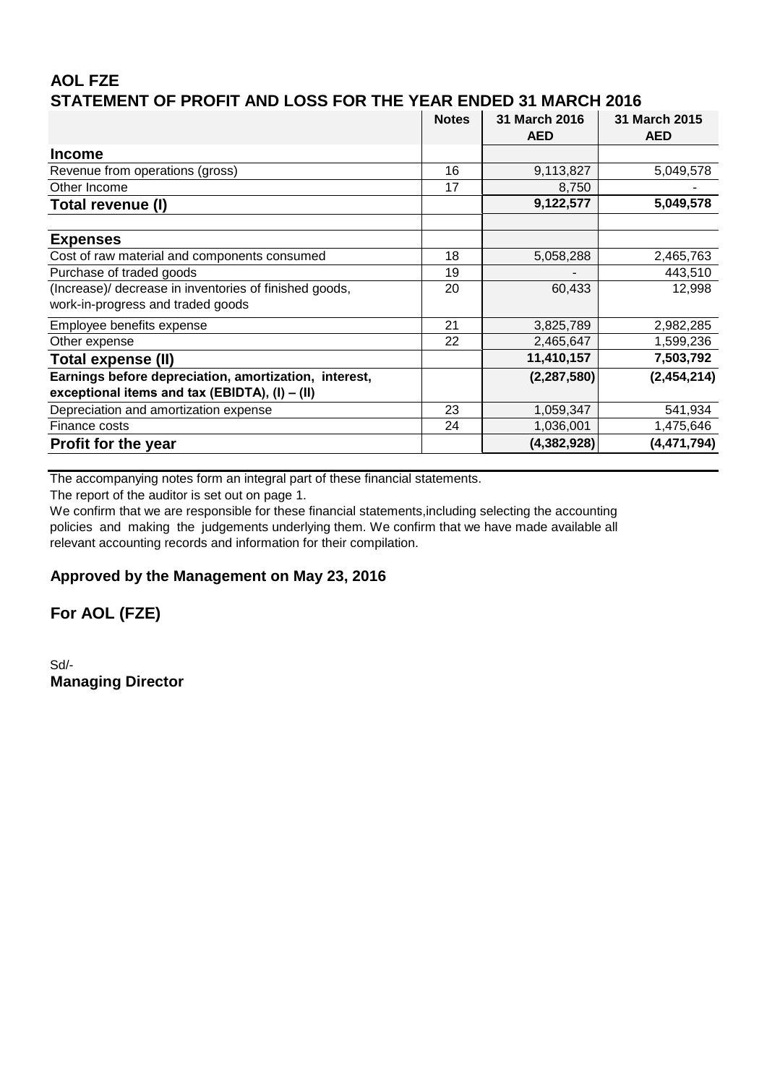# **AOL FZE** 16.64 **STATEMENT OF PROFIT AND LOSS FOR THE YEAR ENDED 31 MARCH 2016**

|                                                        | <b>Notes</b> | 31 March 2016 | 31 March 2015 |
|--------------------------------------------------------|--------------|---------------|---------------|
|                                                        |              | <b>AED</b>    | <b>AED</b>    |
| <b>Income</b>                                          |              |               |               |
| Revenue from operations (gross)                        | 16           | 9,113,827     | 5,049,578     |
| Other Income                                           | 17           | 8,750         |               |
| Total revenue (I)                                      |              | 9,122,577     | 5,049,578     |
|                                                        |              |               |               |
| <b>Expenses</b>                                        |              |               |               |
| Cost of raw material and components consumed           | 18           | 5,058,288     | 2,465,763     |
| Purchase of traded goods                               | 19           |               | 443,510       |
| (Increase)/ decrease in inventories of finished goods, | 20           | 60,433        | 12,998        |
| work-in-progress and traded goods                      |              |               |               |
| Employee benefits expense                              | 21           | 3,825,789     | 2,982,285     |
| Other expense                                          | 22           | 2,465,647     | 1,599,236     |
| Total expense (II)                                     |              | 11,410,157    | 7,503,792     |
| Earnings before depreciation, amortization, interest,  |              | (2, 287, 580) | (2,454,214)   |
| exceptional items and tax (EBIDTA), (I) - (II)         |              |               |               |
| Depreciation and amortization expense                  | 23           | 1,059,347     | 541,934       |
| Finance costs                                          | 24           | 1,036,001     | 1,475,646     |
| <b>Profit for the year</b>                             |              | (4,382,928)   | (4, 471, 794) |

The accompanying notes form an integral part of these financial statements.

The report of the auditor is set out on page 1.

We confirm that we are responsible for these financial statements,including selecting the accounting policies and making the judgements underlying them. We confirm that we have made available all relevant accounting records and information for their compilation.

# **Approved by the Management on May 23, 2016**

**For AOL (FZE)**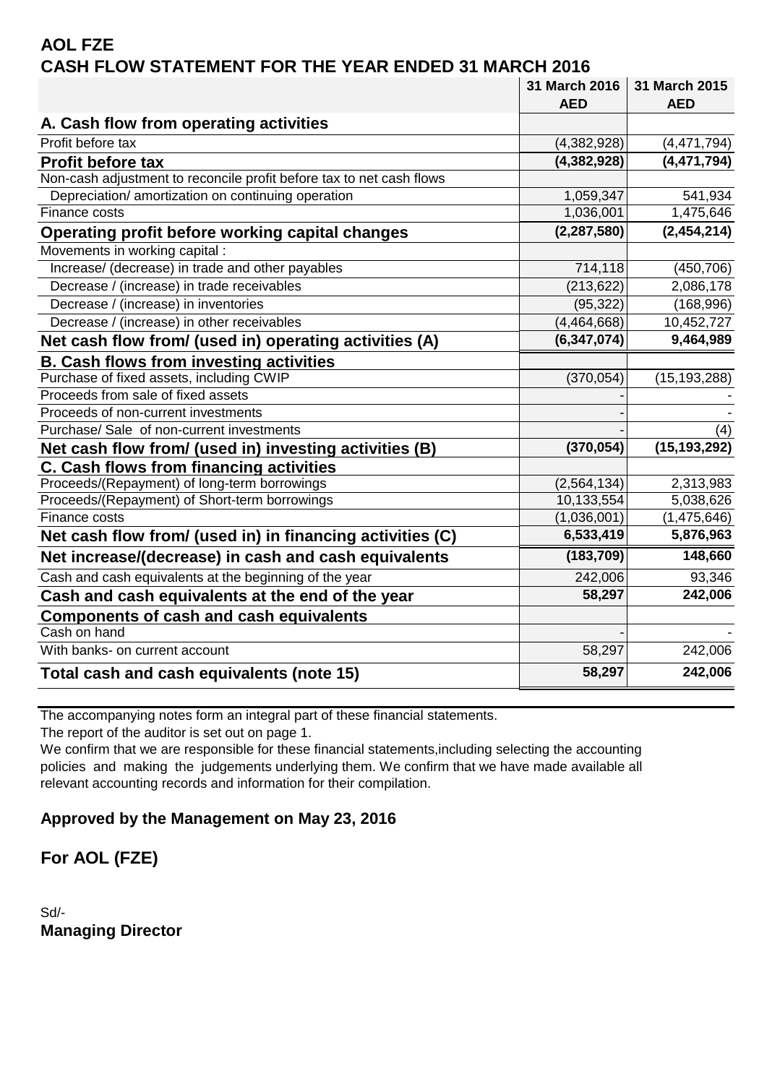# **AOL FZE CASH FLOW STATEMENT FOR THE YEAR ENDED 31 MARCH 2016**

|                                                                      | 31 March 2016<br><b>AED</b> | 31 March 2015<br><b>AED</b> |
|----------------------------------------------------------------------|-----------------------------|-----------------------------|
| A. Cash flow from operating activities                               |                             |                             |
| Profit before tax                                                    | (4,382,928)                 | (4,471,794)                 |
| <b>Profit before tax</b>                                             | (4, 382, 928)               | (4,471,794)                 |
| Non-cash adjustment to reconcile profit before tax to net cash flows |                             |                             |
| Depreciation/ amortization on continuing operation                   | 1,059,347                   | 541,934                     |
| Finance costs                                                        | 1,036,001                   | 1,475,646                   |
| Operating profit before working capital changes                      | (2, 287, 580)               | (2,454,214)                 |
| Movements in working capital :                                       |                             |                             |
| Increase/ (decrease) in trade and other payables                     | 714,118                     | (450, 706)                  |
| Decrease / (increase) in trade receivables                           | (213, 622)                  | 2,086,178                   |
| Decrease / (increase) in inventories                                 | (95, 322)                   | (168, 996)                  |
| Decrease / (increase) in other receivables                           | (4,464,668)                 | 10,452,727                  |
| Net cash flow from/ (used in) operating activities (A)               | (6, 347, 074)               | 9,464,989                   |
| <b>B. Cash flows from investing activities</b>                       |                             |                             |
| Purchase of fixed assets, including CWIP                             | (370, 054)                  | (15, 193, 288)              |
| Proceeds from sale of fixed assets                                   |                             |                             |
| Proceeds of non-current investments                                  |                             |                             |
| Purchase/ Sale of non-current investments                            |                             | (4)                         |
| Net cash flow from/ (used in) investing activities (B)               | (370, 054)                  | (15, 193, 292)              |
| C. Cash flows from financing activities                              |                             |                             |
| Proceeds/(Repayment) of long-term borrowings                         | (2,564,134)                 | 2,313,983                   |
| Proceeds/(Repayment) of Short-term borrowings                        | 10,133,554                  | 5,038,626                   |
| Finance costs                                                        | (1,036,001)                 | (1,475,646)                 |
| Net cash flow from/ (used in) in financing activities (C)            | 6,533,419                   | 5,876,963                   |
| Net increase/(decrease) in cash and cash equivalents                 | (183, 709)                  | 148,660                     |
| Cash and cash equivalents at the beginning of the year               | 242,006                     | 93,346                      |
| Cash and cash equivalents at the end of the year                     | 58,297                      | 242,006                     |
| <b>Components of cash and cash equivalents</b>                       |                             |                             |
| Cash on hand                                                         |                             |                             |
| With banks- on current account                                       | 58,297                      | 242,006                     |
| Total cash and cash equivalents (note 15)                            | 58,297                      | 242,006                     |

The accompanying notes form an integral part of these financial statements.

The report of the auditor is set out on page 1.

We confirm that we are responsible for these financial statements,including selecting the accounting policies and making the judgements underlying them. We confirm that we have made available all relevant accounting records and information for their compilation.

# **Approved by the Management on May 23, 2016**

# **For AOL (FZE)**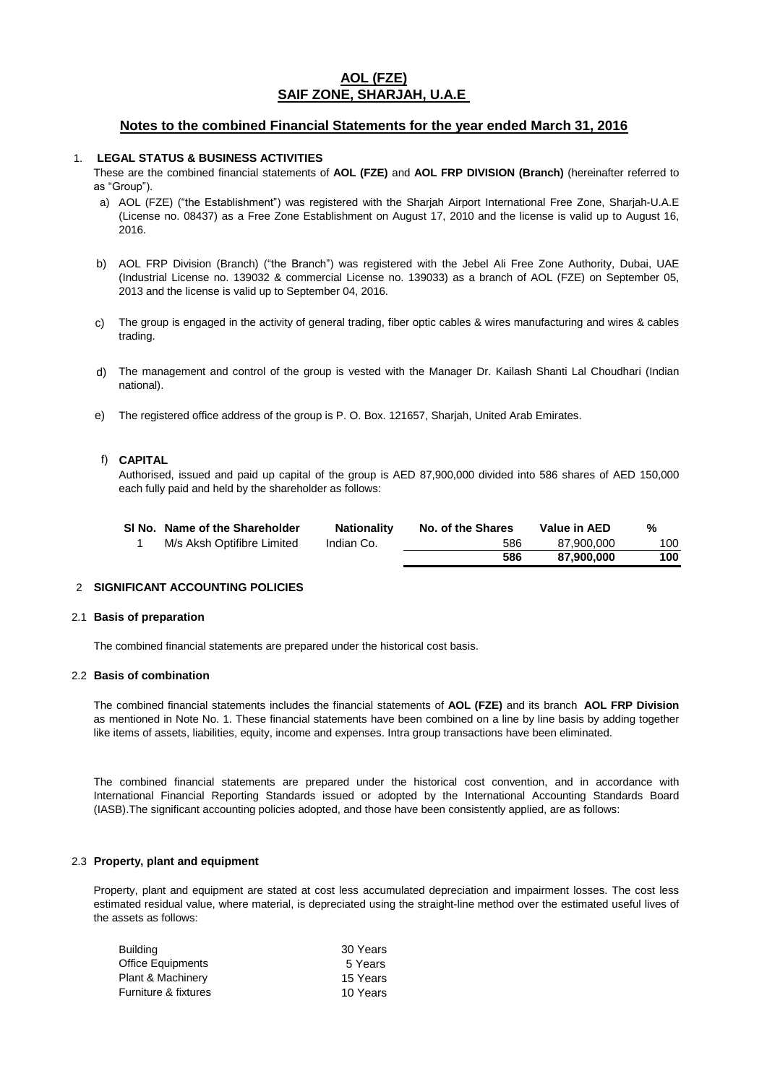## **AOL (FZE) SAIF ZONE, SHARJAH, U.A.E**

## **Notes to the combined Financial Statements for the year ended March 31, 2016**

## 1. **LEGAL STATUS & BUSINESS ACTIVITIES**

These are the combined financial statements of **AOL (FZE)** and **AOL FRP DIVISION (Branch)** (hereinafter referred to as "Group").

- a) AOL (FZE) ("the Establishment") was registered with the Sharjah Airport International Free Zone, Sharjah-U.A.E (License no. 08437) as a Free Zone Establishment on August 17, 2010 and the license is valid up to August 16, 2016.
- b) AOL FRP Division (Branch) ("the Branch") was registered with the Jebel Ali Free Zone Authority, Dubai, UAE (Industrial License no. 139032 & commercial License no. 139033) as a branch of AOL (FZE) on September 05, 2013 and the license is valid up to September 04, 2016.
- c) The group is engaged in the activity of general trading, fiber optic cables & wires manufacturing and wires & cables trading.
- d) The management and control of the group is vested with the Manager Dr. Kailash Shanti Lal Choudhari (Indian national).
- e) The registered office address of the group is P. O. Box. 121657, Sharjah, United Arab Emirates.

### f) **CAPITAL**

Authorised, issued and paid up capital of the group is AED 87,900,000 divided into 586 shares of AED 150,000 each fully paid and held by the shareholder as follows:

| SI No. Name of the Shareholder | <b>Nationality</b> | No. of the Shares | Value in AED | %   |
|--------------------------------|--------------------|-------------------|--------------|-----|
| M/s Aksh Optifibre Limited     | Indian Co.         | 586               | 87.900.000   | 100 |
|                                |                    | 586               | 87,900,000   | 100 |

## 2 **SIGNIFICANT ACCOUNTING POLICIES**

### 2.1 **Basis of preparation**

The combined financial statements are prepared under the historical cost basis.

### 2.2 **Basis of combination**

The combined financial statements includes the financial statements of **AOL (FZE)** and its branch **AOL FRP Division** as mentioned in Note No. 1. These financial statements have been combined on a line by line basis by adding together like items of assets, liabilities, equity, income and expenses. Intra group transactions have been eliminated.

The combined financial statements are prepared under the historical cost convention, and in accordance with International Financial Reporting Standards issued or adopted by the International Accounting Standards Board (IASB).The significant accounting policies adopted, and those have been consistently applied, are as follows:

### 2.3 **Property, plant and equipment**

Property, plant and equipment are stated at cost less accumulated depreciation and impairment losses. The cost less estimated residual value, where material, is depreciated using the straight-line method over the estimated useful lives of the assets as follows:

| Building             | 30 Years |
|----------------------|----------|
| Office Equipments    | 5 Years  |
| Plant & Machinery    | 15 Years |
| Furniture & fixtures | 10 Years |
|                      |          |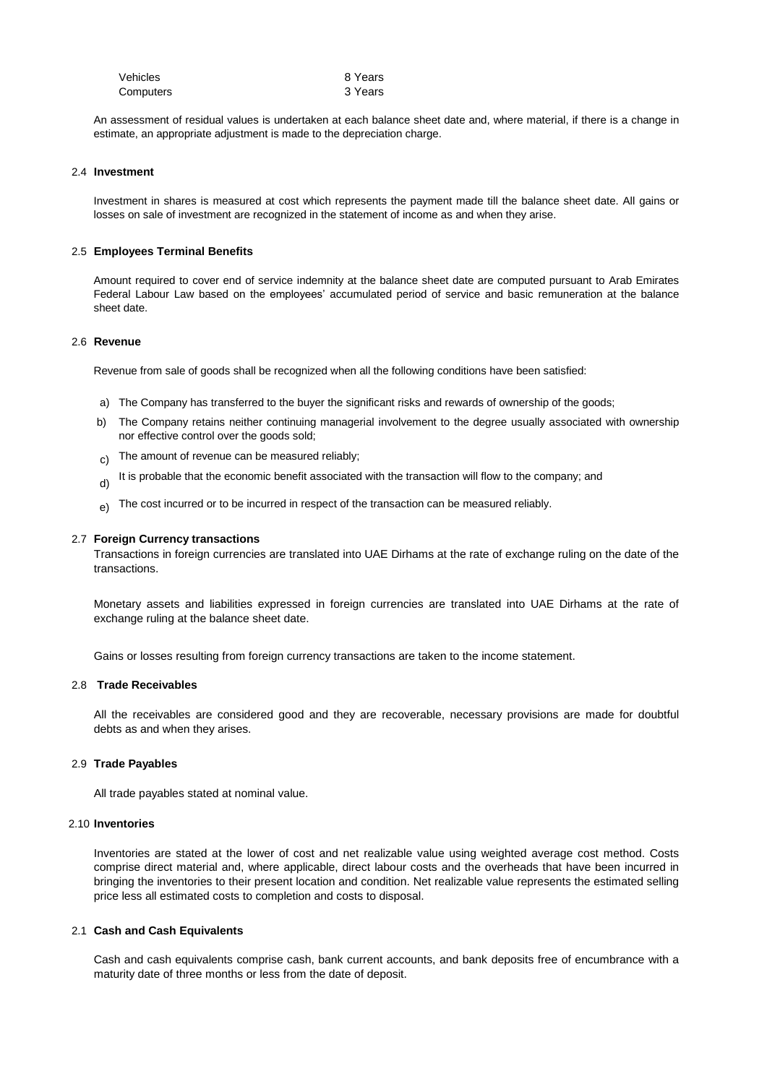| Vehicles  | 8 Years |
|-----------|---------|
| Computers | 3 Years |

An assessment of residual values is undertaken at each balance sheet date and, where material, if there is a change in estimate, an appropriate adjustment is made to the depreciation charge.

#### 2.4 **Investment**

Investment in shares is measured at cost which represents the payment made till the balance sheet date. All gains or losses on sale of investment are recognized in the statement of income as and when they arise.

#### 2.5 **Employees Terminal Benefits**

Amount required to cover end of service indemnity at the balance sheet date are computed pursuant to Arab Emirates Federal Labour Law based on the employees' accumulated period of service and basic remuneration at the balance sheet date.

#### 2.6 **Revenue**

Revenue from sale of goods shall be recognized when all the following conditions have been satisfied:

- a) The Company has transferred to the buyer the significant risks and rewards of ownership of the goods;
- b) The Company retains neither continuing managerial involvement to the degree usually associated with ownership nor effective control over the goods sold;
- $_{\rm c)}$  The amount of revenue can be measured reliably;
- d) It is probable that the economic benefit associated with the transaction will flow to the company; and
- e) The cost incurred or to be incurred in respect of the transaction can be measured reliably.

#### 2.7 **Foreign Currency transactions**

Transactions in foreign currencies are translated into UAE Dirhams at the rate of exchange ruling on the date of the transactions.

Monetary assets and liabilities expressed in foreign currencies are translated into UAE Dirhams at the rate of exchange ruling at the balance sheet date.

Gains or losses resulting from foreign currency transactions are taken to the income statement.

### 2.8 **Trade Receivables**

All the receivables are considered good and they are recoverable, necessary provisions are made for doubtful debts as and when they arises.

#### 2.9 **Trade Payables**

All trade payables stated at nominal value.

## 2.10 **Inventories**

Inventories are stated at the lower of cost and net realizable value using weighted average cost method. Costs comprise direct material and, where applicable, direct labour costs and the overheads that have been incurred in bringing the inventories to their present location and condition. Net realizable value represents the estimated selling price less all estimated costs to completion and costs to disposal.

### 2.1 **Cash and Cash Equivalents**

Cash and cash equivalents comprise cash, bank current accounts, and bank deposits free of encumbrance with a maturity date of three months or less from the date of deposit.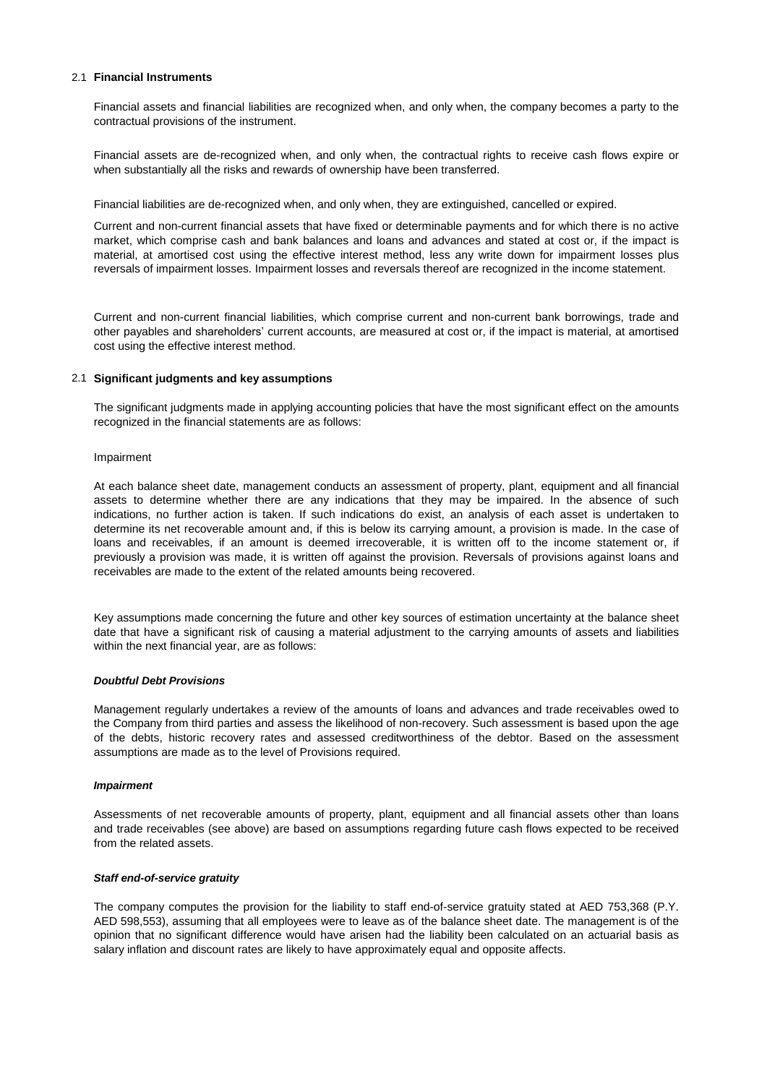### 2.1 **Financial Instruments**

Financial assets and financial liabilities are recognized when, and only when, the company becomes a party to the contractual provisions of the instrument.

Financial assets are de-recognized when, and only when, the contractual rights to receive cash flows expire or when substantially all the risks and rewards of ownership have been transferred.

Financial liabilities are de-recognized when, and only when, they are extinguished, cancelled or expired.

Current and non-current financial assets that have fixed or determinable payments and for which there is no active market, which comprise cash and bank balances and loans and advances and stated at cost or, if the impact is material, at amortised cost using the effective interest method, less any write down for impairment losses plus reversals of impairment losses. Impairment losses and reversals thereof are recognized in the income statement.

Current and non-current financial liabilities, which comprise current and non-current bank borrowings, trade and other payables and shareholders' current accounts, are measured at cost or, if the impact is material, at amortised cost using the effective interest method.

### 2.1 **Significant judgments and key assumptions**

The significant judgments made in applying accounting policies that have the most significant effect on the amounts recognized in the financial statements are as follows:

### Impairment

At each balance sheet date, management conducts an assessment of property, plant, equipment and all financial assets to determine whether there are any indications that they may be impaired. In the absence of such indications, no further action is taken. If such indications do exist, an analysis of each asset is undertaken to determine its net recoverable amount and, if this is below its carrying amount, a provision is made. In the case of loans and receivables, if an amount is deemed irrecoverable, it is written off to the income statement or, if previously a provision was made, it is written off against the provision. Reversals of provisions against loans and receivables are made to the extent of the related amounts being recovered.

Key assumptions made concerning the future and other key sources of estimation uncertainty at the balance sheet date that have a significant risk of causing a material adjustment to the carrying amounts of assets and liabilities within the next financial year, are as follows:

### *Doubtful Debt Provisions*

Management regularly undertakes a review of the amounts of loans and advances and trade receivables owed to the Company from third parties and assess the likelihood of non-recovery. Such assessment is based upon the age of the debts, historic recovery rates and assessed creditworthiness of the debtor. Based on the assessment assumptions are made as to the level of Provisions required.

#### *Impairment*

Assessments of net recoverable amounts of property, plant, equipment and all financial assets other than loans and trade receivables (see above) are based on assumptions regarding future cash flows expected to be received from the related assets.

### *Staff end-of-service gratuity*

The company computes the provision for the liability to staff end-of-service gratuity stated at AED 753,368 (P.Y. AED 598,553), assuming that all employees were to leave as of the balance sheet date. The management is of the opinion that no significant difference would have arisen had the liability been calculated on an actuarial basis as salary inflation and discount rates are likely to have approximately equal and opposite affects.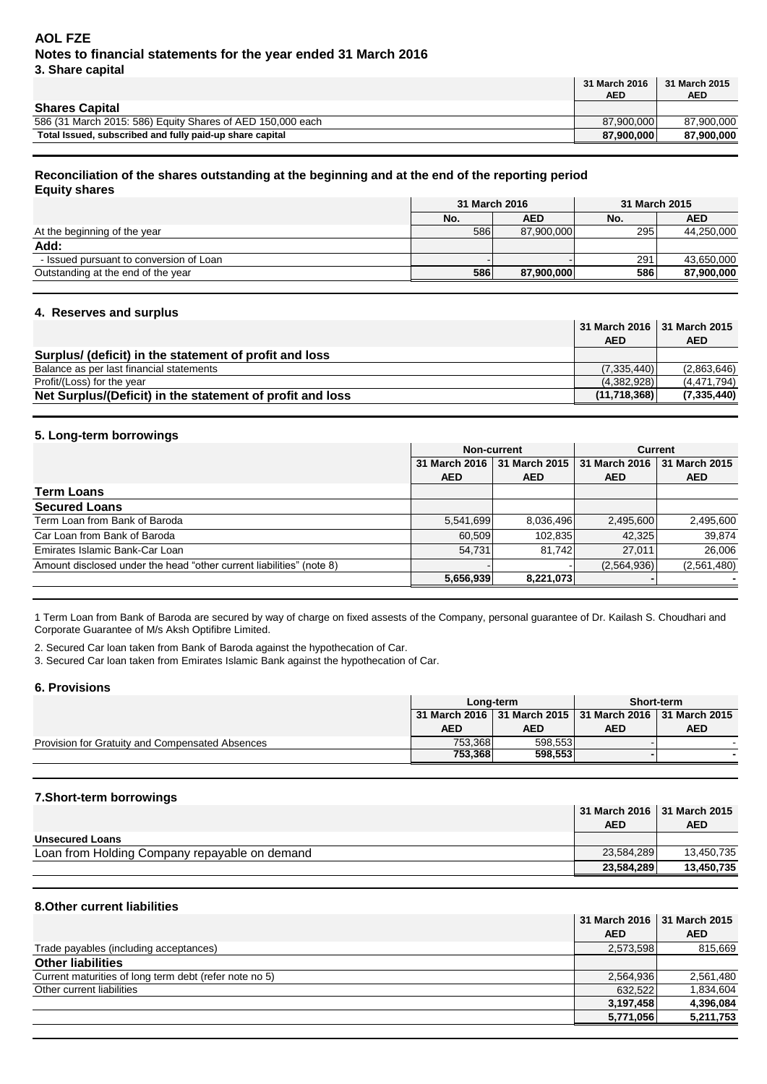## **AOL FZE Notes to financial statements for the year ended 31 March 2016 3. Share capital**

|                                                            | 31 March 2016<br><b>AED</b> | 31 March 2015<br><b>AED</b> |
|------------------------------------------------------------|-----------------------------|-----------------------------|
| <b>Shares Capital</b>                                      |                             |                             |
| 586 (31 March 2015: 586) Equity Shares of AED 150,000 each | 87.900.000                  | 87.900.000                  |
| Total Issued, subscribed and fully paid-up share capital   | 87.900.000                  | 87.900.000                  |

## **Reconciliation of the shares outstanding at the beginning and at the end of the reporting period Equity shares**

| 31 March 2016 |            | 31 March 2015 |                          |
|---------------|------------|---------------|--------------------------|
| No.           | <b>AED</b> | No.           | <b>AED</b>               |
|               |            | 295           | 44,250,000               |
|               |            |               |                          |
|               |            | 291           | 43,650,000               |
|               |            | 586           | 87,900,000               |
|               |            | 586<br>586    | 87,900,000<br>87,900,000 |

## **4. Reserves and surplus**

|                                                           | 31 March 2016   31 March 2015 |             |
|-----------------------------------------------------------|-------------------------------|-------------|
|                                                           | <b>AED</b>                    | <b>AED</b>  |
| Surplus/ (deficit) in the statement of profit and loss    |                               |             |
| Balance as per last financial statements                  | (7.335.440)                   | (2,863,646) |
| Profit/(Loss) for the year                                | (4,382,928)                   | (4.471.794) |
| Net Surplus/(Deficit) in the statement of profit and loss | (11.718.368)                  | (7,335,440) |

## **5. Long-term borrowings**

|                                                                      | Non-current   |               | <b>Current</b> |               |
|----------------------------------------------------------------------|---------------|---------------|----------------|---------------|
|                                                                      | 31 March 2016 | 31 March 2015 | 31 March 2016  | 31 March 2015 |
|                                                                      | <b>AED</b>    | <b>AED</b>    | <b>AED</b>     | <b>AED</b>    |
| <b>Term Loans</b>                                                    |               |               |                |               |
| <b>Secured Loans</b>                                                 |               |               |                |               |
| Term Loan from Bank of Baroda                                        | 5,541,699     | 8,036,496     | 2,495,600      | 2,495,600     |
| Car Loan from Bank of Baroda                                         | 60.509        | 102.835       | 42.325         | 39.874        |
| Emirates Islamic Bank-Car Loan                                       | 54.731        | 81.742        | 27.011         | 26.006        |
| Amount disclosed under the head "other current liabilities" (note 8) |               |               | (2,564,936)    | (2,561,480)   |
|                                                                      | 5,656,939     | 8,221,073     |                |               |

1 Term Loan from Bank of Baroda are secured by way of charge on fixed assests of the Company, personal guarantee of Dr. Kailash S. Choudhari and Corporate Guarantee of M/s Aksh Optifibre Limited.

2. Secured Car loan taken from Bank of Baroda against the hypothecation of Car.

3. Secured Car loan taken from Emirates Islamic Bank against the hypothecation of Car.

## **6. Provisions**

|                                                 | Long-term |                                                               | <b>Short-term</b> |     |
|-------------------------------------------------|-----------|---------------------------------------------------------------|-------------------|-----|
|                                                 |           | 31 March 2016   31 March 2015   31 March 2016   31 March 2015 |                   |     |
|                                                 | AED       | AED                                                           | AED               | AED |
| Provision for Gratuity and Compensated Absences | 753.368   | 598.553                                                       |                   |     |
|                                                 | 753.368   | 598.553                                                       |                   |     |

## **7.Short-term borrowings**

|            | 31 March 2016 31 March 2015 |
|------------|-----------------------------|
| AED        | <b>AED</b>                  |
|            |                             |
| 23.584.289 | 13,450,735                  |
| 23.584.289 | 13,450,735                  |
|            |                             |

## **8.Other current liabilities**

|                                                        | 31 March 2016   31 March 2015 |            |
|--------------------------------------------------------|-------------------------------|------------|
|                                                        | <b>AED</b>                    | <b>AED</b> |
| Trade payables (including acceptances)                 | 2,573,598                     | 815,669    |
| <b>Other liabilities</b>                               |                               |            |
| Current maturities of long term debt (refer note no 5) | 2.564.936                     | 2,561,480  |
| Other current liabilities                              | 632.522                       | 1,834,604  |
|                                                        | 3.197.458                     | 4,396,084  |
|                                                        | 5,771,056                     | 5,211,753  |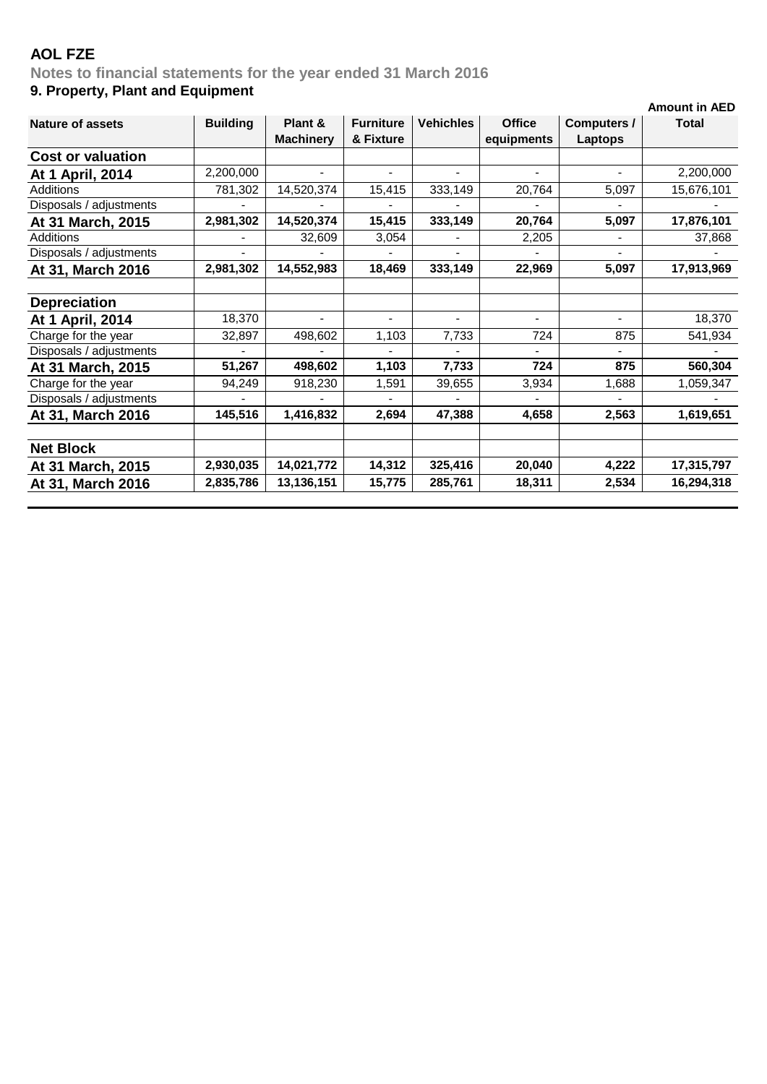# **AOL FZE**

**Notes to financial statements for the year ended 31 March 2016**

## **9. Property, Plant and Equipment**

|                          |                 |                             |                               |                  |                             |                        | <b>Amount in AED</b> |
|--------------------------|-----------------|-----------------------------|-------------------------------|------------------|-----------------------------|------------------------|----------------------|
| <b>Nature of assets</b>  | <b>Building</b> | Plant &<br><b>Machinery</b> | <b>Furniture</b><br>& Fixture | <b>Vehichles</b> | <b>Office</b><br>equipments | Computers /<br>Laptops | <b>Total</b>         |
| <b>Cost or valuation</b> |                 |                             |                               |                  |                             |                        |                      |
| At 1 April, 2014         | 2,200,000       |                             | $\blacksquare$                |                  |                             |                        | 2,200,000            |
| <b>Additions</b>         | 781,302         | 14,520,374                  | 15,415                        | 333,149          | 20,764                      | 5,097                  | 15,676,101           |
| Disposals / adjustments  |                 |                             |                               |                  |                             |                        |                      |
| At 31 March, 2015        | 2,981,302       | 14,520,374                  | 15,415                        | 333,149          | 20,764                      | 5,097                  | 17,876,101           |
| <b>Additions</b>         |                 | 32,609                      | 3,054                         | $\blacksquare$   | 2,205                       | $\blacksquare$         | 37,868               |
| Disposals / adjustments  |                 |                             |                               |                  |                             |                        |                      |
| At 31, March 2016        | 2,981,302       | 14,552,983                  | 18,469                        | 333,149          | 22,969                      | 5,097                  | 17,913,969           |
|                          |                 |                             |                               |                  |                             |                        |                      |
| <b>Depreciation</b>      |                 |                             |                               |                  |                             |                        |                      |
| At 1 April, 2014         | 18,370          | $\blacksquare$              | $\blacksquare$                | $\blacksquare$   | $\blacksquare$              | $\blacksquare$         | 18,370               |
| Charge for the year      | 32,897          | 498,602                     | 1,103                         | 7,733            | 724                         | 875                    | 541,934              |
| Disposals / adjustments  |                 |                             |                               |                  |                             |                        |                      |
| At 31 March, 2015        | 51,267          | 498,602                     | 1,103                         | 7,733            | 724                         | 875                    | 560,304              |
| Charge for the year      | 94,249          | 918,230                     | 1,591                         | 39,655           | 3,934                       | 1,688                  | 1,059,347            |
| Disposals / adjustments  |                 |                             |                               |                  |                             |                        |                      |
| At 31, March 2016        | 145,516         | 1,416,832                   | 2,694                         | 47,388           | 4,658                       | 2,563                  | 1,619,651            |
| <b>Net Block</b>         |                 |                             |                               |                  |                             |                        |                      |
| At 31 March, 2015        | 2,930,035       | 14,021,772                  | 14,312                        | 325,416          | 20,040                      | 4,222                  | 17,315,797           |
| At 31, March 2016        | 2,835,786       | 13,136,151                  | 15,775                        | 285,761          | 18,311                      | 2,534                  | 16,294,318           |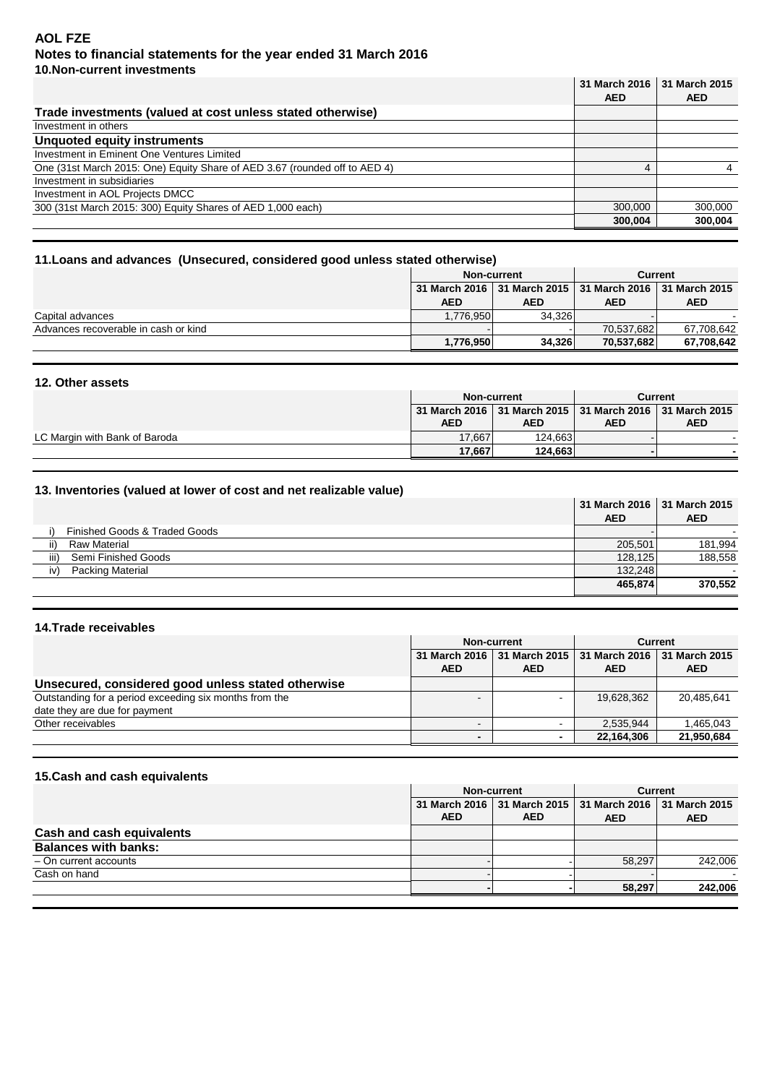## **AOL FZE Notes to financial statements for the year ended 31 March 2016 10.Non-current investments**

|                                                                            | 31 March 2016 31 March 2015 |            |
|----------------------------------------------------------------------------|-----------------------------|------------|
|                                                                            | <b>AED</b>                  | <b>AED</b> |
| Trade investments (valued at cost unless stated otherwise)                 |                             |            |
| Investment in others                                                       |                             |            |
| Unquoted equity instruments                                                |                             |            |
| Investment in Eminent One Ventures Limited                                 |                             |            |
| One (31st March 2015: One) Equity Share of AED 3.67 (rounded off to AED 4) |                             |            |
| Investment in subsidiaries                                                 |                             |            |
| Investment in AOL Projects DMCC                                            |                             |            |
| 300 (31st March 2015: 300) Equity Shares of AED 1,000 each)                | 300,000                     | 300,000    |
|                                                                            | 300,004                     | 300,004    |

## **11.Loans and advances (Unsecured, considered good unless stated otherwise)**

|                                      |            | Non-current | Current                                                       |                          |  |
|--------------------------------------|------------|-------------|---------------------------------------------------------------|--------------------------|--|
|                                      |            |             | 31 March 2016   31 March 2015   31 March 2016   31 March 2015 |                          |  |
|                                      | <b>AED</b> | AED         | AED                                                           | <b>AED</b>               |  |
| Capital advances                     | 1.776.950  | 34.326      |                                                               | $\overline{\phantom{a}}$ |  |
| Advances recoverable in cash or kind |            |             | 70.537.682                                                    | 67.708.642               |  |
|                                      | 1,776,950  | 34,326      | 70.537.682                                                    | 67,708,642               |  |

## **12. Other assets**

|                               | <b>Non-current</b>                                                                        |         | Current |            |
|-------------------------------|-------------------------------------------------------------------------------------------|---------|---------|------------|
|                               | 31 March 2016   31 March 2015   31 March 2016   31 March 2015<br><b>AED</b><br><b>AED</b> |         | AED     | <b>AED</b> |
| LC Margin with Bank of Baroda | 17.667                                                                                    | 124.663 |         |            |
|                               | 17,667                                                                                    | 124.663 |         |            |

## **13. Inventories (valued at lower of cost and net realizable value)**

|                               | 31 March 2016   31 March 2015 |            |
|-------------------------------|-------------------------------|------------|
|                               | <b>AED</b>                    | <b>AED</b> |
| Finished Goods & Traded Goods |                               |            |
| ii)<br>Raw Material           | 205.501                       | 181.994    |
| iii)<br>Semi Finished Goods   | 128.125                       | 188,558    |
| Packing Material<br>iv)       | 132.248                       |            |
|                               | 465,874                       | 370,552    |

## **14.Trade receivables**

|                                                        | <b>Non-current</b>       |            |                                               | Current    |
|--------------------------------------------------------|--------------------------|------------|-----------------------------------------------|------------|
|                                                        |                          |            | 31 March 2016   31 March 2015   31 March 2016 |            |
|                                                        | <b>AED</b>               | <b>AED</b> | <b>AED</b>                                    | <b>AED</b> |
| Unsecured, considered good unless stated otherwise     |                          |            |                                               |            |
| Outstanding for a period exceeding six months from the |                          |            | 19.628.362                                    | 20.485.641 |
| date they are due for payment                          |                          |            |                                               |            |
| Other receivables                                      | $\overline{\phantom{0}}$ |            | 2.535.944                                     | 1.465.043  |
|                                                        |                          |            | 22,164,306                                    | 21,950,684 |

## **15.Cash and cash equivalents**

|                             | Non-current              |  | <b>Current</b> |            |  |  |                                                               |  |  |  |
|-----------------------------|--------------------------|--|----------------|------------|--|--|---------------------------------------------------------------|--|--|--|
|                             |                          |  |                |            |  |  | 31 March 2016   31 March 2015   31 March 2016   31 March 2015 |  |  |  |
|                             | <b>AED</b><br><b>AED</b> |  | <b>AED</b>     | <b>AED</b> |  |  |                                                               |  |  |  |
| Cash and cash equivalents   |                          |  |                |            |  |  |                                                               |  |  |  |
| <b>Balances with banks:</b> |                          |  |                |            |  |  |                                                               |  |  |  |
| - On current accounts       |                          |  | 58.297         | 242,006    |  |  |                                                               |  |  |  |
| Cash on hand                |                          |  |                |            |  |  |                                                               |  |  |  |
|                             |                          |  | 58,297         | 242.006    |  |  |                                                               |  |  |  |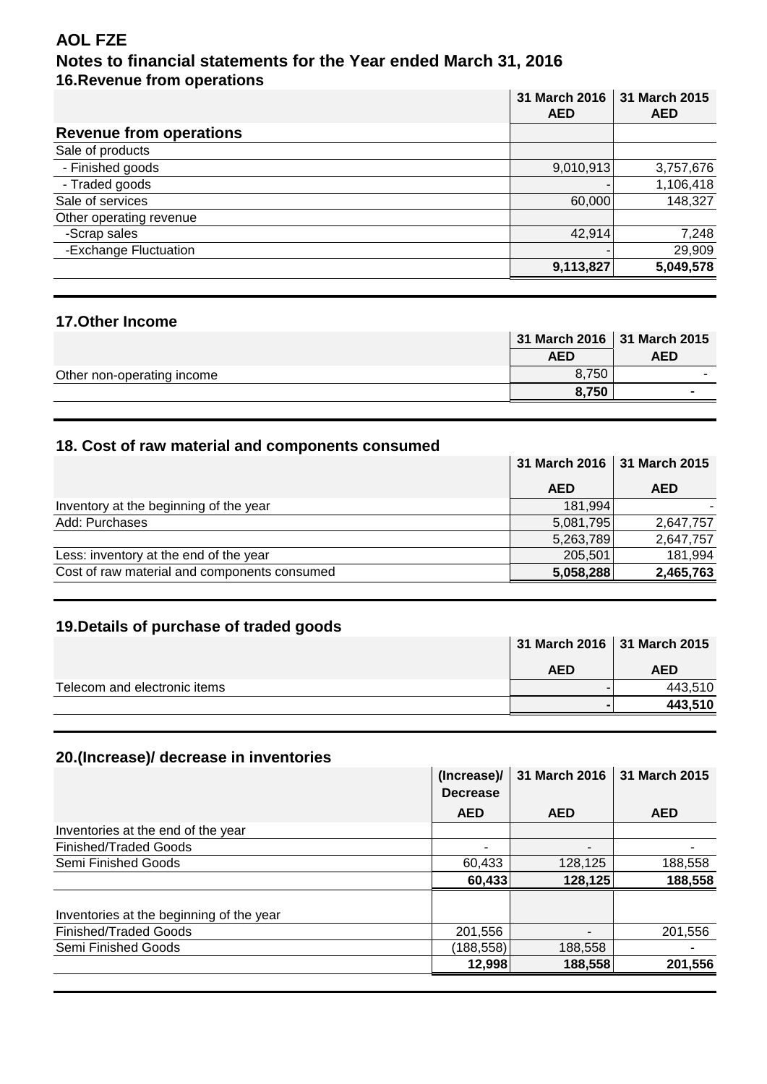# **AOL FZE Notes to financial statements for the Year ended March 31, 2016 16.Revenue from operations**

|                                | 31 March 2016<br><b>AED</b> | 31 March 2015<br><b>AED</b> |
|--------------------------------|-----------------------------|-----------------------------|
| <b>Revenue from operations</b> |                             |                             |
| Sale of products               |                             |                             |
| - Finished goods               | 9,010,913                   | 3,757,676                   |
| - Traded goods                 |                             | 1,106,418                   |
| Sale of services               | 60,000                      | 148,327                     |
| Other operating revenue        |                             |                             |
| -Scrap sales                   | 42,914                      | 7,248                       |
| -Exchange Fluctuation          |                             | 29,909                      |
|                                | 9,113,827                   | 5,049,578                   |

# **17.Other Income**

|                            | 31 March 2016   31 March 2015 |            |
|----------------------------|-------------------------------|------------|
|                            | <b>AED</b>                    | <b>AED</b> |
| Other non-operating income | 8,750                         |            |
|                            | 8,750                         |            |
|                            |                               |            |

# **18. Cost of raw material and components consumed**

|                                              |            | 31 March 2016 31 March 2015 |
|----------------------------------------------|------------|-----------------------------|
|                                              | <b>AED</b> | <b>AED</b>                  |
| Inventory at the beginning of the year       | 181,994    |                             |
| Add: Purchases                               | 5,081,795  | 2,647,757                   |
|                                              | 5,263,789  | 2,647,757                   |
| Less: inventory at the end of the year       | 205,501    | 181,994                     |
| Cost of raw material and components consumed | 5,058,288  | 2,465,763                   |

# **19.Details of purchase of traded goods**

|                              | 31 March 2016   31 March 2015 |            |
|------------------------------|-------------------------------|------------|
|                              | <b>AED</b>                    | <b>AED</b> |
| Telecom and electronic items |                               | 443.510    |
|                              |                               | 443,510    |

# **20.(Increase)/ decrease in inventories**

|                                          | (Increase)/<br><b>Decrease</b> | 31 March 2016  | 31 March 2015 |
|------------------------------------------|--------------------------------|----------------|---------------|
|                                          | <b>AED</b>                     | <b>AED</b>     | <b>AED</b>    |
| Inventories at the end of the year       |                                |                |               |
| <b>Finished/Traded Goods</b>             |                                | $\blacksquare$ |               |
| Semi Finished Goods                      | 60,433                         | 128,125        | 188,558       |
|                                          | 60,433                         | 128,125        | 188,558       |
| Inventories at the beginning of the year |                                |                |               |
| <b>Finished/Traded Goods</b>             | 201,556                        | $\blacksquare$ | 201,556       |
| Semi Finished Goods                      | (188,558)                      | 188,558        |               |
|                                          | 12,998                         | 188,558        | 201,556       |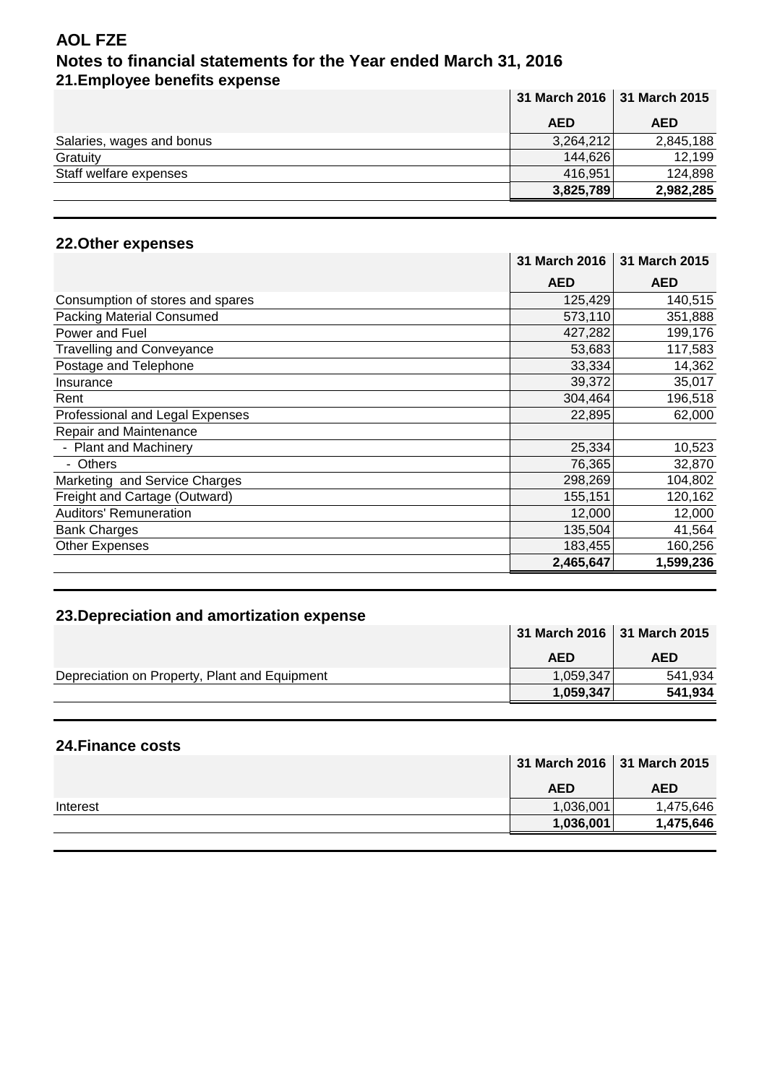# **AOL FZE Notes to financial statements for the Year ended March 31, 2016 21.Employee benefits expense 31 March 2016 31 March 2015**

|                           | 31 March 2016   31 March 2015 |            |
|---------------------------|-------------------------------|------------|
|                           | <b>AED</b>                    | <b>AED</b> |
| Salaries, wages and bonus | 3,264,212                     | 2,845,188  |
| Gratuity                  | 144,626                       | 12,199     |
| Staff welfare expenses    | 416.951                       | 124.898    |
|                           | 3,825,789                     | 2,982,285  |

# **22.Other expenses**

|                                  | 31 March 2016 | 31 March 2015 |
|----------------------------------|---------------|---------------|
|                                  | <b>AED</b>    | <b>AED</b>    |
| Consumption of stores and spares | 125,429       | 140,515       |
| <b>Packing Material Consumed</b> | 573,110       | 351,888       |
| Power and Fuel                   | 427,282       | 199,176       |
| <b>Travelling and Conveyance</b> | 53,683        | 117,583       |
| Postage and Telephone            | 33,334        | 14,362        |
| Insurance                        | 39,372        | 35,017        |
| Rent                             | 304,464       | 196,518       |
| Professional and Legal Expenses  | 22,895        | 62,000        |
| Repair and Maintenance           |               |               |
| - Plant and Machinery            | 25,334        | 10,523        |
| - Others                         | 76,365        | 32,870        |
| Marketing and Service Charges    | 298,269       | 104,802       |
| Freight and Cartage (Outward)    | 155,151       | 120,162       |
| <b>Auditors' Remuneration</b>    | 12,000        | 12,000        |
| <b>Bank Charges</b>              | 135,504       | 41,564        |
| <b>Other Expenses</b>            | 183,455       | 160,256       |
|                                  | 2,465,647     | 1,599,236     |

# **23.Depreciation and amortization expense**

|                                               | 31 March 2016   31 March 2015 |            |
|-----------------------------------------------|-------------------------------|------------|
|                                               | <b>AED</b>                    | <b>AED</b> |
| Depreciation on Property, Plant and Equipment | 1,059,347                     | 541,934    |
|                                               | 1,059,347                     | 541,934    |

# **24.Finance costs**

|          |            | 31 March 2016   31 March 2015 |
|----------|------------|-------------------------------|
|          | <b>AED</b> | <b>AED</b>                    |
| Interest | 1,036,001  | 1,475,646                     |
|          | 1,036,001  | 1,475,646                     |
|          |            |                               |